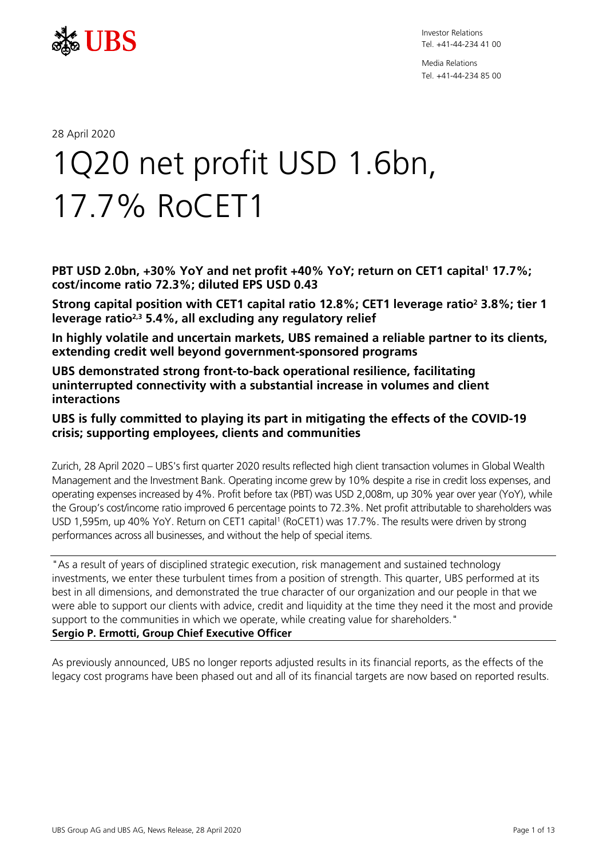

Media Relations Tel. +41-44-234 85 00

28 April 2020

# 1Q20 net profit USD 1.6bn, 17.7% RoCET1

**PBT USD 2.0bn, +30% YoY and net profit +40% YoY; return on CET1 capital<sup>1</sup> 17.7%; cost/income ratio 72.3%; diluted EPS USD 0.43**

**Strong capital position with CET1 capital ratio 12.8%; CET1 leverage ratio2 3.8%; tier 1 leverage ratio2,3 5.4%, all excluding any regulatory relief**

**In highly volatile and uncertain markets, UBS remained a reliable partner to its clients, extending credit well beyond government-sponsored programs**

**UBS demonstrated strong front-to-back operational resilience, facilitating uninterrupted connectivity with a substantial increase in volumes and client interactions** 

**UBS is fully committed to playing its part in mitigating the effects of the COVID-19 crisis; supporting employees, clients and communities**

Zurich, 28 April 2020 – UBS's first quarter 2020 results reflected high client transaction volumes in Global Wealth Management and the Investment Bank. Operating income grew by 10% despite a rise in credit loss expenses, and operating expenses increased by 4%. Profit before tax (PBT) was USD 2,008m, up 30% year over year (YoY), while the Group's cost/income ratio improved 6 percentage points to 72.3%. Net profit attributable to shareholders was USD 1,595m, up 40% YoY. Return on CET1 capital<sup>1</sup> (RoCET1) was 17.7%. The results were driven by strong performances across all businesses, and without the help of special items.

"As a result of years of disciplined strategic execution, risk management and sustained technology investments, we enter these turbulent times from a position of strength. This quarter, UBS performed at its best in all dimensions, and demonstrated the true character of our organization and our people in that we were able to support our clients with advice, credit and liquidity at the time they need it the most and provide support to the communities in which we operate, while creating value for shareholders."

## **Sergio P. Ermotti, Group Chief Executive Officer**

As previously announced, UBS no longer reports adjusted results in its financial reports, as the effects of the legacy cost programs have been phased out and all of its financial targets are now based on reported results.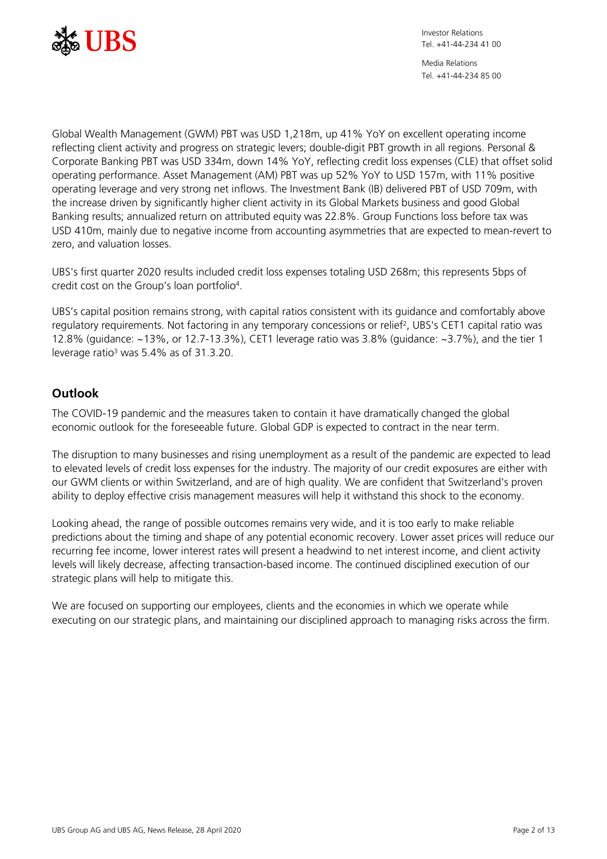

Media Relations Tel. +41-44-234 85 00

Global Wealth Management (GWM) PBT was USD 1,218m, up 41% YoY on excellent operating income reflecting client activity and progress on strategic levers; double-digit PBT growth in all regions. Personal & Corporate Banking PBT was USD 334m, down 14% YoY, reflecting credit loss expenses (CLE) that offset solid operating performance. Asset Management (AM) PBT was up 52% YoY to USD 157m, with 11% positive operating leverage and very strong net inflows. The Investment Bank (IB) delivered PBT of USD 709m, with the increase driven by significantly higher client activity in its Global Markets business and good Global Banking results; annualized return on attributed equity was 22.8%. Group Functions loss before tax was USD 410m, mainly due to negative income from accounting asymmetries that are expected to mean-revert to zero, and valuation losses.

UBS's first quarter 2020 results included credit loss expenses totaling USD 268m; this represents 5bps of credit cost on the Group's loan portfolio4.

UBS's capital position remains strong, with capital ratios consistent with its guidance and comfortably above regulatory requirements. Not factoring in any temporary concessions or relief<sup>2</sup>, UBS's CET1 capital ratio was 12.8% (guidance: ~13%, or 12.7-13.3%), CET1 leverage ratio was 3.8% (guidance: ~3.7%), and the tier 1 leverage ratio<sup>3</sup> was 5.4% as of 31.3.20.

# **Outlook**

The COVID-19 pandemic and the measures taken to contain it have dramatically changed the global economic outlook for the foreseeable future. Global GDP is expected to contract in the near term.

The disruption to many businesses and rising unemployment as a result of the pandemic are expected to lead to elevated levels of credit loss expenses for the industry. The majority of our credit exposures are either with our GWM clients or within Switzerland, and are of high quality. We are confident that Switzerland's proven ability to deploy effective crisis management measures will help it withstand this shock to the economy.

Looking ahead, the range of possible outcomes remains very wide, and it is too early to make reliable predictions about the timing and shape of any potential economic recovery. Lower asset prices will reduce our recurring fee income, lower interest rates will present a headwind to net interest income, and client activity levels will likely decrease, affecting transaction-based income. The continued disciplined execution of our strategic plans will help to mitigate this.

We are focused on supporting our employees, clients and the economies in which we operate while executing on our strategic plans, and maintaining our disciplined approach to managing risks across the firm.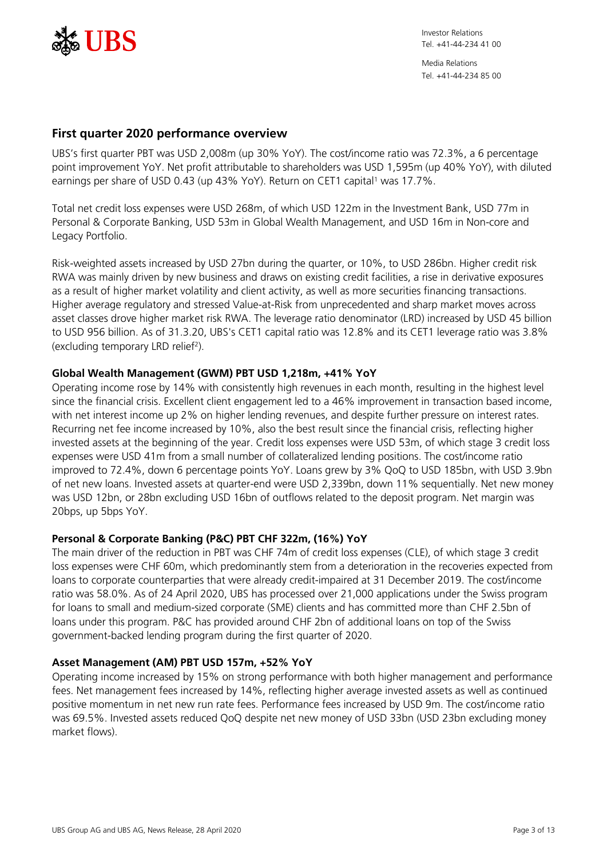

Media Relations Tel. +41-44-234 85 00

## **First quarter 2020 performance overview**

UBS's first quarter PBT was USD 2,008m (up 30% YoY). The cost/income ratio was 72.3%, a 6 percentage point improvement YoY. Net profit attributable to shareholders was USD 1,595m (up 40% YoY), with diluted earnings per share of USD 0.43 (up 43% YoY). Return on CET1 capital<sup>1</sup> was 17.7%.

Total net credit loss expenses were USD 268m, of which USD 122m in the Investment Bank, USD 77m in Personal & Corporate Banking, USD 53m in Global Wealth Management, and USD 16m in Non-core and Legacy Portfolio.

Risk-weighted assets increased by USD 27bn during the quarter, or 10%, to USD 286bn. Higher credit risk RWA was mainly driven by new business and draws on existing credit facilities, a rise in derivative exposures as a result of higher market volatility and client activity, as well as more securities financing transactions. Higher average regulatory and stressed Value-at-Risk from unprecedented and sharp market moves across asset classes drove higher market risk RWA. The leverage ratio denominator (LRD) increased by USD 45 billion to USD 956 billion. As of 31.3.20, UBS's CET1 capital ratio was 12.8% and its CET1 leverage ratio was 3.8% (excluding temporary LRD relief2).

## **Global Wealth Management (GWM) PBT USD 1,218m, +41% YoY**

Operating income rose by 14% with consistently high revenues in each month, resulting in the highest level since the financial crisis. Excellent client engagement led to a 46% improvement in transaction based income, with net interest income up 2% on higher lending revenues, and despite further pressure on interest rates. Recurring net fee income increased by 10%, also the best result since the financial crisis, reflecting higher invested assets at the beginning of the year. Credit loss expenses were USD 53m, of which stage 3 credit loss expenses were USD 41m from a small number of collateralized lending positions. The cost/income ratio improved to 72.4%, down 6 percentage points YoY. Loans grew by 3% QoQ to USD 185bn, with USD 3.9bn of net new loans. Invested assets at quarter-end were USD 2,339bn, down 11% sequentially. Net new money was USD 12bn, or 28bn excluding USD 16bn of outflows related to the deposit program. Net margin was 20bps, up 5bps YoY.

## **Personal & Corporate Banking (P&C) PBT CHF 322m, (16%) YoY**

The main driver of the reduction in PBT was CHF 74m of credit loss expenses (CLE), of which stage 3 credit loss expenses were CHF 60m, which predominantly stem from a deterioration in the recoveries expected from loans to corporate counterparties that were already credit-impaired at 31 December 2019. The cost/income ratio was 58.0%. As of 24 April 2020, UBS has processed over 21,000 applications under the Swiss program for loans to small and medium-sized corporate (SME) clients and has committed more than CHF 2.5bn of loans under this program. P&C has provided around CHF 2bn of additional loans on top of the Swiss government-backed lending program during the first quarter of 2020.

## **Asset Management (AM) PBT USD 157m, +52% YoY**

Operating income increased by 15% on strong performance with both higher management and performance fees. Net management fees increased by 14%, reflecting higher average invested assets as well as continued positive momentum in net new run rate fees. Performance fees increased by USD 9m. The cost/income ratio was 69.5%. Invested assets reduced QoQ despite net new money of USD 33bn (USD 23bn excluding money market flows).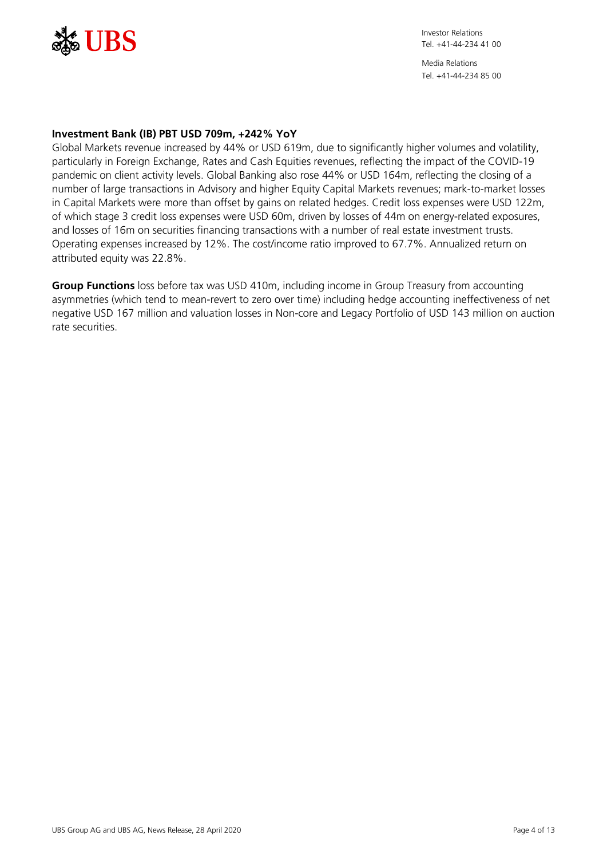

Media Relations Tel. +41-44-234 85 00

## **Investment Bank (IB) PBT USD 709m, +242% YoY**

Global Markets revenue increased by 44% or USD 619m, due to significantly higher volumes and volatility, particularly in Foreign Exchange, Rates and Cash Equities revenues, reflecting the impact of the COVID-19 pandemic on client activity levels. Global Banking also rose 44% or USD 164m, reflecting the closing of a number of large transactions in Advisory and higher Equity Capital Markets revenues; mark-to-market losses in Capital Markets were more than offset by gains on related hedges. Credit loss expenses were USD 122m, of which stage 3 credit loss expenses were USD 60m, driven by losses of 44m on energy-related exposures, and losses of 16m on securities financing transactions with a number of real estate investment trusts. Operating expenses increased by 12%. The cost/income ratio improved to 67.7%. Annualized return on attributed equity was 22.8%.

**Group Functions** loss before tax was USD 410m, including income in Group Treasury from accounting asymmetries (which tend to mean-revert to zero over time) including hedge accounting ineffectiveness of net negative USD 167 million and valuation losses in Non-core and Legacy Portfolio of USD 143 million on auction rate securities.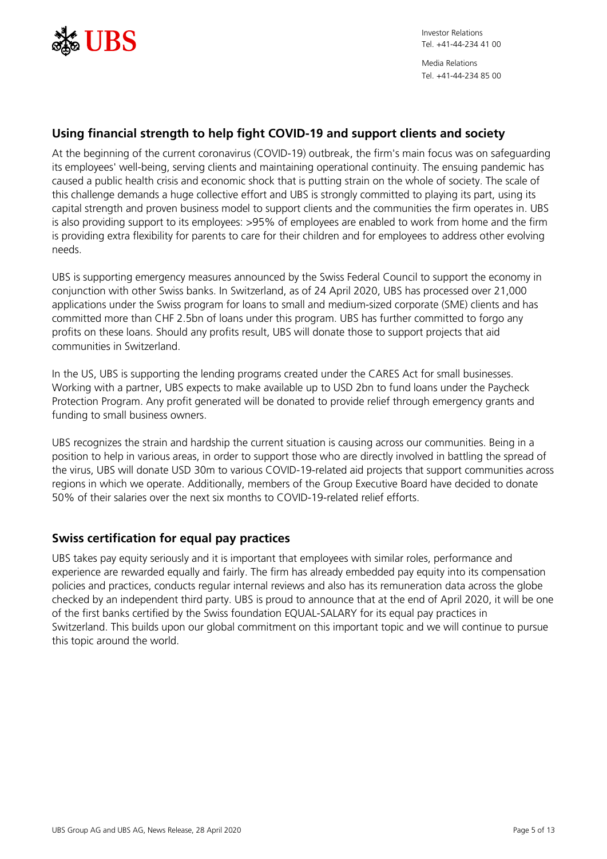

Media Relations Tel. +41-44-234 85 00

# **Using financial strength to help fight COVID-19 and support clients and society**

At the beginning of the current coronavirus (COVID-19) outbreak, the firm's main focus was on safeguarding its employees' well-being, serving clients and maintaining operational continuity. The ensuing pandemic has caused a public health crisis and economic shock that is putting strain on the whole of society. The scale of this challenge demands a huge collective effort and UBS is strongly committed to playing its part, using its capital strength and proven business model to support clients and the communities the firm operates in. UBS is also providing support to its employees: >95% of employees are enabled to work from home and the firm is providing extra flexibility for parents to care for their children and for employees to address other evolving needs.

UBS is supporting emergency measures announced by the Swiss Federal Council to support the economy in conjunction with other Swiss banks. In Switzerland, as of 24 April 2020, UBS has processed over 21,000 applications under the Swiss program for loans to small and medium-sized corporate (SME) clients and has committed more than CHF 2.5bn of loans under this program. UBS has further committed to forgo any profits on these loans. Should any profits result, UBS will donate those to support projects that aid communities in Switzerland.

In the US, UBS is supporting the lending programs created under the CARES Act for small businesses. Working with a partner, UBS expects to make available up to USD 2bn to fund loans under the Paycheck Protection Program. Any profit generated will be donated to provide relief through emergency grants and funding to small business owners.

UBS recognizes the strain and hardship the current situation is causing across our communities. Being in a position to help in various areas, in order to support those who are directly involved in battling the spread of the virus, UBS will donate USD 30m to various COVID-19-related aid projects that support communities across regions in which we operate. Additionally, members of the Group Executive Board have decided to donate 50% of their salaries over the next six months to COVID-19-related relief efforts.

## **Swiss certification for equal pay practices**

UBS takes pay equity seriously and it is important that employees with similar roles, performance and experience are rewarded equally and fairly. The firm has already embedded pay equity into its compensation policies and practices, conducts regular internal reviews and also has its remuneration data across the globe checked by an independent third party. UBS is proud to announce that at the end of April 2020, it will be one of the first banks certified by the Swiss foundation EQUAL-SALARY for its equal pay practices in Switzerland. This builds upon our global commitment on this important topic and we will continue to pursue this topic around the world.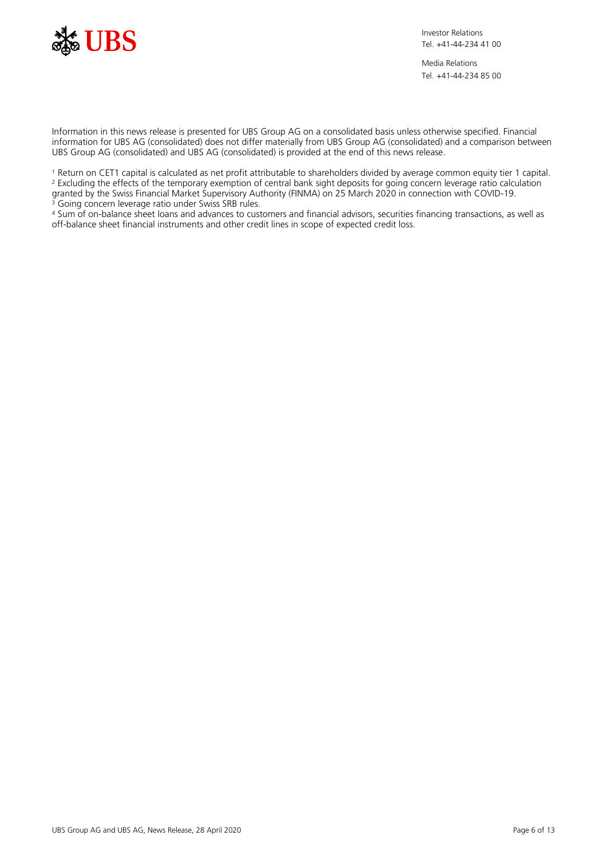

Media Relations Tel. +41-44-234 85 00

Information in this news release is presented for UBS Group AG on a consolidated basis unless otherwise specified. Financial information for UBS AG (consolidated) does not differ materially from UBS Group AG (consolidated) and a comparison between UBS Group AG (consolidated) and UBS AG (consolidated) is provided at the end of this news release.

<sup>1</sup> Return on CET1 capital is calculated as net profit attributable to shareholders divided by average common equity tier 1 capital. <sup>2</sup> Excluding the effects of the temporary exemption of central bank sight deposits for going concern leverage ratio calculation granted by the Swiss Financial Market Supervisory Authority (FINMA) on 25 March 2020 in connection with COVID-19. <sup>3</sup> Going concern leverage ratio under Swiss SRB rules.

<sup>4</sup> Sum of on-balance sheet loans and advances to customers and financial advisors, securities financing transactions, as well as off-balance sheet financial instruments and other credit lines in scope of expected credit loss.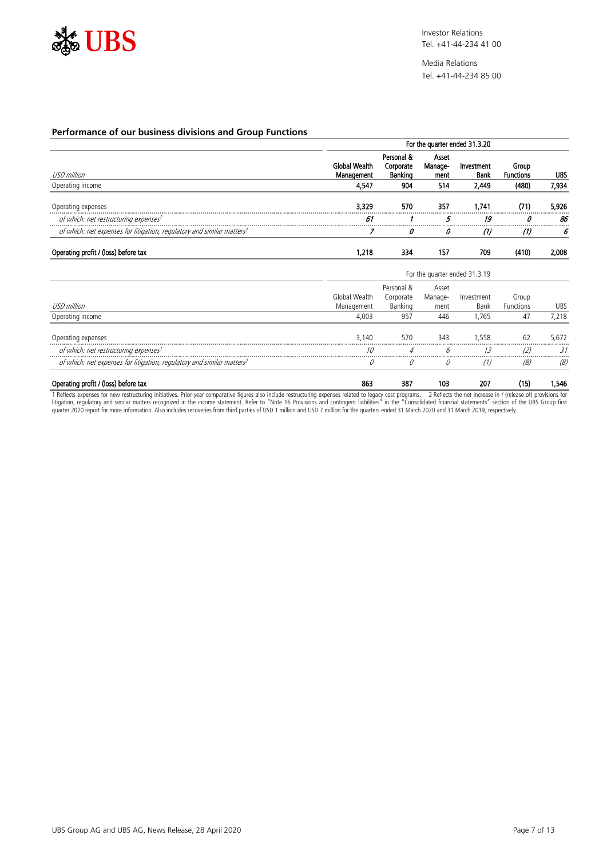

Media Relations Tel. +41-44-234 85 00

#### **Performance of our business divisions and Group Functions**

|                                                                                    | For the quarter ended 31.3.20 |                                    |                          |                    |                           |            |  |
|------------------------------------------------------------------------------------|-------------------------------|------------------------------------|--------------------------|--------------------|---------------------------|------------|--|
| USD million                                                                        | Global Wealth<br>Management   | Personal &<br>Corporate<br>Banking | Asset<br>Manage-<br>ment | Investment<br>Bank | Group<br><b>Functions</b> | <b>UBS</b> |  |
| Operating income                                                                   | 4,547                         | 904                                | 514                      | 2.449              | (480)                     | 7,934      |  |
| Operating expenses                                                                 | 3.329                         | 570                                | 357                      | 1.741              | (71)                      | 5,926      |  |
| of which: net restructuring expenses <sup>1</sup>                                  | 61                            |                                    | 5                        | 19                 | Ω                         | 86         |  |
| of which: net expenses for litigation, regulatory and similar matters <sup>2</sup> |                               | 0                                  | 0                        | (1)                | (1)                       |            |  |
| Operating profit / (loss) before tax                                               | 1.218                         | 334                                | 157                      | 709                | (410)                     | 2,008      |  |

|                                                                                    | For the quarter ended 31.3.19 |                                    |                          |                    |                           |            |  |
|------------------------------------------------------------------------------------|-------------------------------|------------------------------------|--------------------------|--------------------|---------------------------|------------|--|
| USD million                                                                        | Global Wealth<br>Management   | Personal &<br>Corporate<br>Banking | Asset<br>Manage-<br>ment | Investment<br>Bank | Group<br><b>Functions</b> | <b>UBS</b> |  |
| Operating income                                                                   | 4,003                         | 957                                | 446                      | 1.765              | 47                        | 7,218      |  |
| Operating expenses                                                                 | 3.140                         | 570                                | 343                      | 1.558              | 62                        | 5.672      |  |
| of which: net restructuring expenses <sup>1</sup>                                  | 10                            | 4                                  | 6                        | 13                 | 12,                       | 31         |  |
| of which: net expenses for litigation, regulatory and similar matters <sup>2</sup> | 0                             | 0                                  | 0                        | (1)                | (8)                       | (8)        |  |
| Operating profit / (loss) before tax                                               | 863                           | 387                                | 103                      | 207                | (15)                      | 1.546      |  |

1 Reflects expenses for new restructuring initiatives. Prior-year comparative figures also include restructuring expenses related to legacy cost programs. 2 Reflects the net increase in / (release of) provisions for<br>li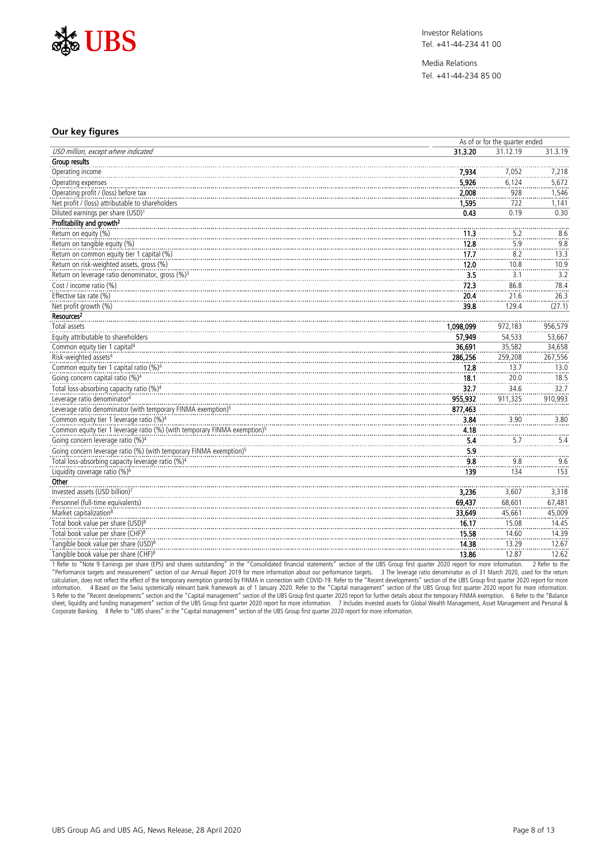

Media Relations Tel. +41-44-234 85 00

#### **Our key figures**

| USD million, except where indicated<br>31.3.20<br>31.12.19<br>Group results<br>Operating income<br>7,934<br>7,052<br>5,926<br>Operating expenses<br>6.124<br>Operating profit / (loss) before tax<br>2.008<br>928<br>Net profit / (loss) attributable to shareholders<br>1,595<br>722<br>1,141<br>Diluted earnings per share (USD) <sup>1</sup><br>0.43<br>0.19<br>Profitability and growth <sup>2</sup><br><br>Return on equity (%)<br>5.2<br>11.3<br>$rac{1}{5.9}$<br>$rac{1}{9.8}$<br>Return on tangible equity (%)<br>12.8 |                                            |      | As of or for the quarter ended |         |
|--------------------------------------------------------------------------------------------------------------------------------------------------------------------------------------------------------------------------------------------------------------------------------------------------------------------------------------------------------------------------------------------------------------------------------------------------------------------------------------------------------------------------------|--------------------------------------------|------|--------------------------------|---------|
|                                                                                                                                                                                                                                                                                                                                                                                                                                                                                                                                |                                            |      |                                | 31.3.19 |
|                                                                                                                                                                                                                                                                                                                                                                                                                                                                                                                                |                                            |      |                                |         |
|                                                                                                                                                                                                                                                                                                                                                                                                                                                                                                                                |                                            |      |                                | 7,218   |
|                                                                                                                                                                                                                                                                                                                                                                                                                                                                                                                                |                                            |      |                                | 5,672   |
|                                                                                                                                                                                                                                                                                                                                                                                                                                                                                                                                |                                            |      |                                | 1,546   |
|                                                                                                                                                                                                                                                                                                                                                                                                                                                                                                                                |                                            |      |                                |         |
|                                                                                                                                                                                                                                                                                                                                                                                                                                                                                                                                |                                            |      |                                | 0.30    |
|                                                                                                                                                                                                                                                                                                                                                                                                                                                                                                                                |                                            |      |                                |         |
|                                                                                                                                                                                                                                                                                                                                                                                                                                                                                                                                |                                            |      |                                | 8.6     |
|                                                                                                                                                                                                                                                                                                                                                                                                                                                                                                                                |                                            |      |                                |         |
|                                                                                                                                                                                                                                                                                                                                                                                                                                                                                                                                | Return on common equity tier 1 capital (%) | 17.7 | 8.2                            | 13.3    |
| 10.8<br>Return on risk-weighted assets, gross (%)<br>12.0                                                                                                                                                                                                                                                                                                                                                                                                                                                                      |                                            |      |                                | 10.9    |
| 3.5<br>3.1<br>3.2<br>Return on leverage ratio denominator, gross (%) <sup>3</sup>                                                                                                                                                                                                                                                                                                                                                                                                                                              |                                            |      |                                |         |
| 86.8<br>72.3<br>Cost / income ratio (%)                                                                                                                                                                                                                                                                                                                                                                                                                                                                                        |                                            |      |                                | 78.4    |
| Effective tax rate (%)<br>20.4<br>21.6                                                                                                                                                                                                                                                                                                                                                                                                                                                                                         |                                            |      |                                | 26.3    |
| Net profit growth (%)<br>39.8<br>129.4                                                                                                                                                                                                                                                                                                                                                                                                                                                                                         |                                            |      |                                | (27.1)  |
| Resources <sup>2</sup>                                                                                                                                                                                                                                                                                                                                                                                                                                                                                                         |                                            |      |                                |         |
| <b>Total assets</b><br>1,098,099<br>972,183                                                                                                                                                                                                                                                                                                                                                                                                                                                                                    |                                            |      |                                | 956,579 |
| Equity attributable to shareholders<br>57,949<br>54,533                                                                                                                                                                                                                                                                                                                                                                                                                                                                        |                                            |      |                                | 53,667  |
| 36.691<br>35,582<br>Common equity tier 1 capital <sup>4</sup>                                                                                                                                                                                                                                                                                                                                                                                                                                                                  |                                            |      |                                | 34,658  |
| Risk-weighted assets <sup>4</sup><br>259,208<br>286.256                                                                                                                                                                                                                                                                                                                                                                                                                                                                        |                                            |      |                                | 267,556 |
| Common equity tier 1 capital ratio (%) <sup>4</sup><br>13.7<br>12.8                                                                                                                                                                                                                                                                                                                                                                                                                                                            |                                            |      |                                | 13.0    |
| Going concern capital ratio (%) <sup>4</sup><br>18.1<br>20.0<br>18.5                                                                                                                                                                                                                                                                                                                                                                                                                                                           |                                            |      |                                |         |
| Total loss-absorbing capacity ratio (%) <sup>4</sup><br>32.7<br>34.6                                                                                                                                                                                                                                                                                                                                                                                                                                                           |                                            |      |                                | 32.7    |
| 955,932<br>911,325<br>Leverage ratio denominator <sup>4</sup>                                                                                                                                                                                                                                                                                                                                                                                                                                                                  |                                            |      |                                | 910,993 |
| Leverage ratio denominator (with temporary FINMA exemption) <sup>5</sup><br>877,463                                                                                                                                                                                                                                                                                                                                                                                                                                            |                                            |      |                                |         |
| Common equity tier 1 leverage ratio (%) <sup>4</sup><br>3.90<br>3.84                                                                                                                                                                                                                                                                                                                                                                                                                                                           |                                            |      |                                | 3.80    |
| Common equity tier 1 leverage ratio (%) (with temporary FINMA exemption) <sup>5</sup><br>4.18                                                                                                                                                                                                                                                                                                                                                                                                                                  |                                            |      |                                |         |
| 5.4<br>Going concern leverage ratio (%) <sup>4</sup><br>5.7                                                                                                                                                                                                                                                                                                                                                                                                                                                                    |                                            |      |                                | 5.4     |
| Going concern leverage ratio (%) (with temporary FINMA exemption) <sup>5</sup><br>5.9                                                                                                                                                                                                                                                                                                                                                                                                                                          |                                            |      |                                |         |
| 9.8<br>Total loss-absorbing capacity leverage ratio (%) <sup>4</sup><br>9.8                                                                                                                                                                                                                                                                                                                                                                                                                                                    |                                            |      |                                | 9.6     |
| $rac{1}{134}$<br>Liquidity coverage ratio (%) <sup>6</sup><br>139                                                                                                                                                                                                                                                                                                                                                                                                                                                              |                                            |      |                                | 153     |
| Other                                                                                                                                                                                                                                                                                                                                                                                                                                                                                                                          |                                            |      |                                |         |
| Invested assets (USD billion)7<br>3,236<br>3.607                                                                                                                                                                                                                                                                                                                                                                                                                                                                               |                                            |      |                                | 3,318   |
| 69.437<br>68.601<br>Personnel (full-time equivalents)<br>67.481                                                                                                                                                                                                                                                                                                                                                                                                                                                                |                                            |      |                                |         |
| Market capitalization <sup>8</sup><br>33,649<br>45,661                                                                                                                                                                                                                                                                                                                                                                                                                                                                         |                                            |      |                                | 45,009  |
| Total book value per share (USD) <sup>8</sup><br>15.08<br>16.17                                                                                                                                                                                                                                                                                                                                                                                                                                                                |                                            |      |                                | 14.45   |
| Total book value per share (CHF)8<br>15.58<br>14.60                                                                                                                                                                                                                                                                                                                                                                                                                                                                            |                                            |      |                                | 14.39   |
| 14.38<br>Tangible book value per share (USD) <sup>8</sup><br>13.29                                                                                                                                                                                                                                                                                                                                                                                                                                                             |                                            |      |                                | 12.67   |
| 13.86<br>Tangible book value per share (CHF) <sup>8</sup><br>12.87                                                                                                                                                                                                                                                                                                                                                                                                                                                             |                                            |      |                                | 12.62   |

1 Refer to "Note 9 Earnings per share (EPS) and shares outstanding" in the "Consolidated financial statements" section of the UBS Group first quarter 2020 report for more information. 2 Refer to the "Performance targets an sheet, liquidity and funding management" section of the UBS Group first quarter 2020 report for more information. 7 Includes invested assets for Global Wealth Management, Asset Management and Personal &<br>Corporate Bankin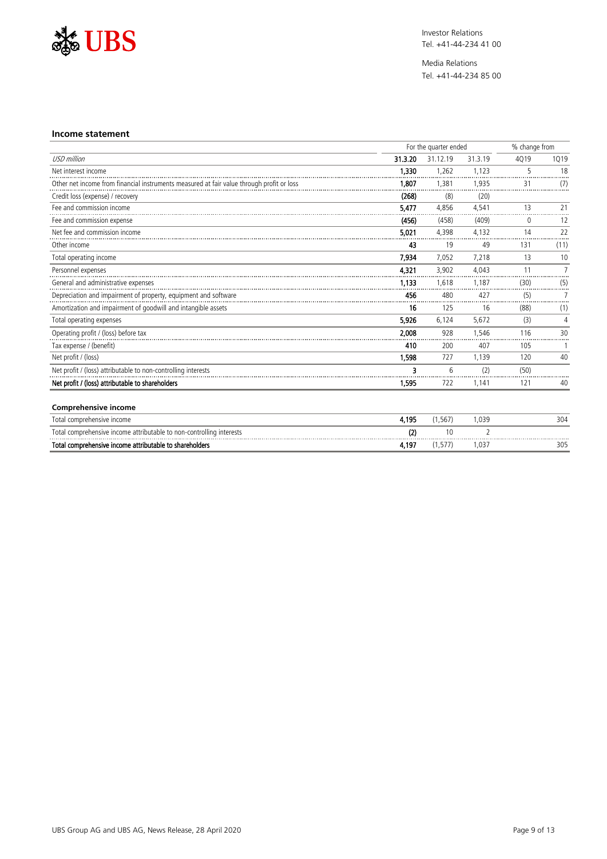

Media Relations Tel. +41-44-234 85 00

#### **Income statement**

|                                                                                           | For the quarter ended |          |         | % change from |                |
|-------------------------------------------------------------------------------------------|-----------------------|----------|---------|---------------|----------------|
| <b>USD</b> million                                                                        | 31.3.20               | 31.12.19 | 31.3.19 | 4019          | 1019           |
| Net interest income                                                                       | 1.330                 | 1,262    | 1.123   | 5             | 18             |
| Other net income from financial instruments measured at fair value through profit or loss | 1,807                 | 1,381    | 1.935   | 31            | (7)            |
| Credit loss (expense) / recovery                                                          | (268)                 | (8)      | (20)    |               |                |
| Fee and commission income                                                                 | 5,477                 | 4,856    | 4,541   | 13            | 21<br>.        |
| Fee and commission expense                                                                | (456)                 | (458)    | (409)   | 0             | 12             |
| Net fee and commission income                                                             | 5.021                 | 4,398    | 4.132   | 14            | 22             |
| Other income                                                                              | 43                    | 19       | 49      | 131           | (11)           |
| Total operating income                                                                    | 7.934                 | 7,052    | 7,218   | 13            | 10             |
| Personnel expenses                                                                        | 4,321                 | 3,902    | 4.043   | 11            | $\overline{7}$ |
| General and administrative expenses                                                       | 1.133                 | 1.618    | 1,187   | (30)          | (5)            |
| Depreciation and impairment of property, equipment and software                           | 456                   | 480      | 427     | (5)           |                |
| Amortization and impairment of goodwill and intangible assets                             | 16                    | 125      | 16      | (88)          | (1)            |
| Total operating expenses                                                                  | 5,926                 | 6,124    | 5,672   | (3)           | 4              |
| Operating profit / (loss) before tax                                                      | 2,008                 | 928      | 1.546   | 116           | 30             |
| Tax expense / (benefit)                                                                   | 410                   | 200      | 407     | 105           |                |
| Net profit / (loss)                                                                       | 1,598                 | 727      | 1.139   | 120           | 40             |
| Net profit / (loss) attributable to non-controlling interests                             | 3                     | 6        | (2)     | (50)          |                |
| Net profit / (loss) attributable to shareholders                                          | 1,595                 | 722      | 1,141   | 121           | 40             |
| <b>Comprehensive income</b>                                                               |                       |          |         |               |                |
| Total comprehensive income                                                                | 4,195                 | (1, 567) | 1,039   |               | 304            |
| Total comprehensive income attributable to non-controlling interests                      | $\left( 2\right)$     | 10       |         |               |                |
| Total comprehensive income attributable to shareholders                                   | 4,197                 | (1, 577) | 1,037   |               | 305            |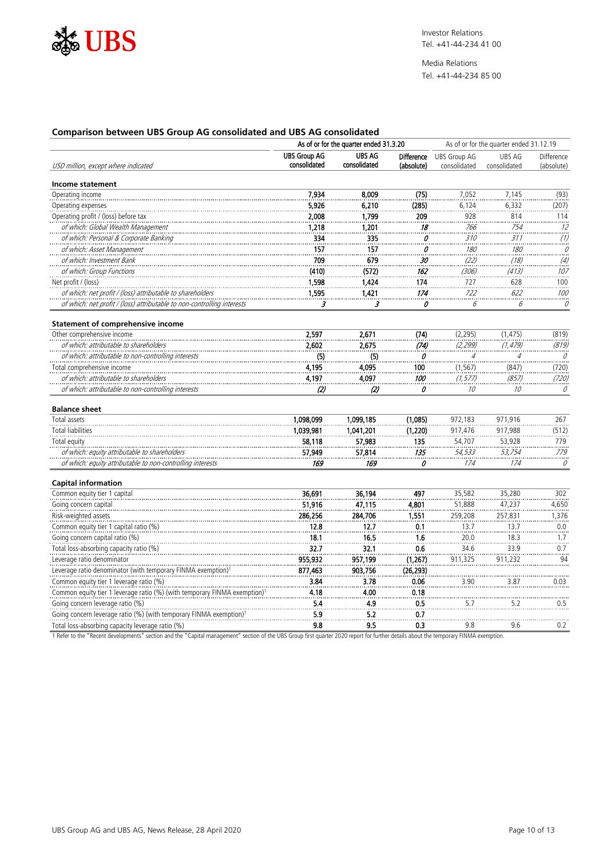

Media Relations Tel. +41-44-234 85 00

## **Comparison between UBS Group AG consolidated and UBS AG consolidated**

|                                                                          | As of or for the quarter ended 31.3.20 | As of or for the quarter ended 31.12.19 |                                 |                                     |                        |                          |
|--------------------------------------------------------------------------|----------------------------------------|-----------------------------------------|---------------------------------|-------------------------------------|------------------------|--------------------------|
| USD million, except where indicated                                      | <b>UBS Group AG</b><br>consolidated    | <b>UBS AG</b><br>consolidated           | <b>Difference</b><br>(absolute) | <b>UBS Group AG</b><br>consolidated | UBS AG<br>consolidated | Difference<br>(absolute) |
| Income statement                                                         |                                        |                                         |                                 |                                     |                        |                          |
| Operating income                                                         | 7,934                                  | 8,009                                   | (75)                            | 7,052                               | 7,145                  | (93)                     |
| Operating expenses                                                       | 5,926                                  | 6,210                                   | (285)                           | 6,124                               | 6,332                  | (207)                    |
| Operating profit / (loss) before tax                                     | 2,008                                  | 1,799                                   | 209                             | 928                                 | 814                    | 114                      |
| of which: Global Wealth Management                                       | 1,218                                  | 1,201                                   | 18                              | 766                                 | 754                    | 12                       |
| of which: Personal & Corporate Banking                                   | 334                                    | 335                                     | 0                               | 310                                 | 311                    | $\frac{1}{2}$            |
| of which: Asset Management                                               | 157                                    | 157                                     | 0                               | 180                                 | 180                    | 0                        |
| of which: Investment Bank                                                | 709                                    | 679                                     | 30                              | (22)                                | (18)                   | $\frac{1}{(4)}$          |
| of which: Group Functions                                                | (410)                                  | (572)                                   | 162                             | (306)                               | (413)                  | 107                      |
| Net profit / (loss)                                                      | 1,598                                  | 1,424                                   | 174                             | 727                                 | 628                    | 100                      |
| of which: net profit / (loss) attributable to shareholders               | 1,595                                  | 1,421                                   | 174                             | 722                                 | 622                    | $100\,$                  |
| of which: net profit / (loss) attributable to non-controlling interests  | 3                                      | 3                                       | 0                               | 6                                   | 6                      | 0                        |
| <b>Statement of comprehensive income</b>                                 |                                        |                                         |                                 |                                     |                        |                          |
| Other comprehensive income                                               | 2.597                                  | 2,671                                   | (74)                            | (2, 295)                            | (1, 475)               | (819)                    |
| of which: attributable to shareholders                                   | 2.602                                  | 2,675                                   | (74)                            | (2, 299)                            | (1, 479)               | (819)                    |
| of which: attributable to non-controlling interests                      | (5)                                    | (5)                                     | $\mathcal{Q}$                   |                                     |                        | 0                        |
| Total comprehensive income                                               | 4,195                                  | 4,095                                   | 100                             | (1, 567)                            | (847)                  | (720)                    |
| of which: attributable to shareholders                                   | 4,197                                  | 4,097                                   | 100                             | (1, 577)                            | (857)                  | (720)                    |
| of which: attributable to non-controlling interests                      | $(2)$                                  | (2)                                     | 0                               | 10                                  | 10                     | 0                        |
|                                                                          |                                        |                                         |                                 |                                     |                        |                          |
| <b>Balance sheet</b>                                                     |                                        |                                         |                                 |                                     |                        |                          |
| Total assets                                                             | 1,098,099                              | 1,099,185                               | (1,085)                         | 972.183                             | 971.916                | 267                      |
| <b>Total liabilities</b>                                                 | 1,039,981                              | 1,041,201                               | (1,220)                         | 917,476                             | 917,988                | (512)                    |
| Total equity                                                             | 58,118                                 | 57,983                                  | 135                             | 54,707                              | 53,928                 | 779                      |
| of which: equity attributable to shareholders                            | 57.949                                 | 57,814                                  | 135                             | 54.533                              | 53,754                 | 779                      |
| of which: equity attributable to non-controlling interests               | 169                                    | 169                                     | 0                               | 174                                 | 174                    | 0                        |
| <b>Capital information</b>                                               |                                        |                                         |                                 |                                     |                        |                          |
| Common equity tier 1 capital                                             | 36.691                                 | 36,194                                  | 497                             | 35,582                              | 35,280                 | 302                      |
| Going concern capital                                                    | 51,916                                 | 47,115                                  | 4,801                           | 51,888                              | 47,237                 | 4,650                    |
| Risk-weighted assets                                                     | 286,256                                | 284,706                                 | 1,551                           | 259,208                             | 257,831                | 1,376                    |
| Common equity tier 1 capital ratio (%)                                   | 12.8                                   | 12.7                                    | 0.1                             | 13.7                                | 13.7                   | 0.0                      |
| Going concern capital ratio (%)                                          | 18.1                                   | 16.5                                    | 1.6                             | 20.0                                | 18.3                   | 1.7                      |
| Total loss-absorbing capacity ratio (%)                                  | 32.7                                   | 32.1                                    | 0.6                             | 34.6                                | 33.9                   | 0.7                      |
| Leverage ratio denominator                                               | 955,932                                | 957,199                                 | (1,267)                         | 911,325                             | 911,232                | 94                       |
| Leverage ratio denominator (with temporary FINMA exemption)              | 877,463                                | 903,756                                 | (26, 293)                       |                                     |                        |                          |
| Common equity tier 1 leverage ratio (%)                                  | 3.84                                   | 3.78                                    | 0.06                            | 3.90                                | 3.87                   | 0.03                     |
| Common equity tier 1 leverage ratio (%) (with temporary FINMA exemption) | 4.18                                   | 4.00                                    | 0.18                            |                                     |                        | .                        |
| Going concern leverage ratio (%)                                         | 5.4                                    | 4.9                                     | 0.5                             | 5.7                                 | 5.2                    | 0.5                      |
| Going concern leverage ratio (%) (with temporary FINMA exemption)        | 5.9                                    | 5.2                                     | 0.7                             |                                     |                        |                          |
| Total loss-absorbing capacity leverage ratio (%)                         | 9.8                                    | 9.5                                     | 0.3                             | 9.8                                 | 9.6                    | 0.2                      |

1 Refer to the "Recent developments" section and the "Capital management" section of the UBS Group first quarter 2020 report for further details about the temporary FINMA exemption.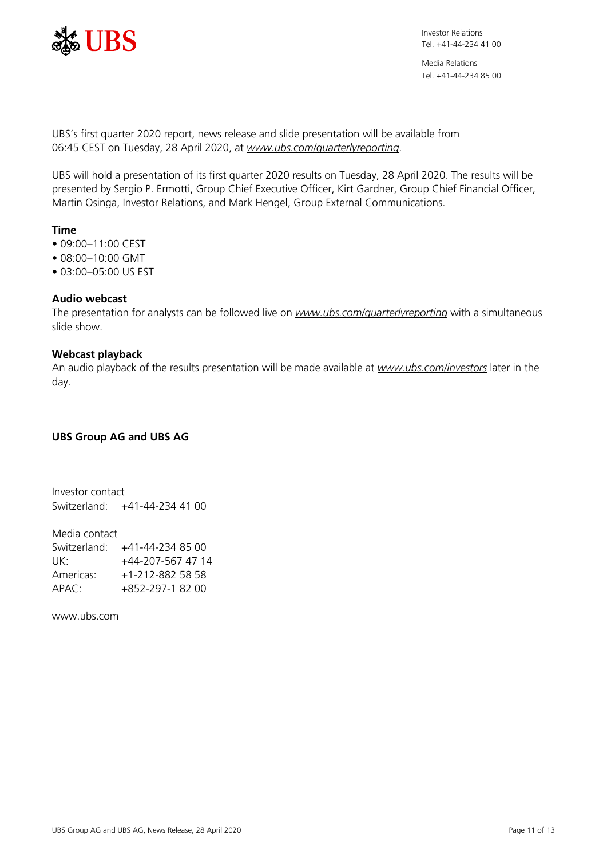

Media Relations Tel. +41-44-234 85 00

UBS's first quarter 2020 report, news release and slide presentation will be available from 06:45 CEST on Tuesday, 28 April 2020, at *[www.ubs.com/quarterlyreporting](https://www.ubs.com/quarterlyreporting)*.

UBS will hold a presentation of its first quarter 2020 results on Tuesday, 28 April 2020. The results will be presented by Sergio P. Ermotti, Group Chief Executive Officer, Kirt Gardner, Group Chief Financial Officer, Martin Osinga, Investor Relations, and Mark Hengel, Group External Communications.

## **Time**

- 09:00–11:00 CEST
- 08:00–10:00 GMT
- 03:00–05:00 US EST

## **Audio webcast**

The presentation for analysts can be followed live on *[www.ubs.com/quarterlyreporting](https://www.ubs.com/quarterlyreporting)* with a simultaneous slide show.

## **Webcast playback**

An audio playback of the results presentation will be made available at *[www.ubs.com/investors](https://www.ubs.com/investors)* later in the day.

## **UBS Group AG and UBS AG**

Investor contact Switzerland: +41-44-234 41 00

Media contact Switzerland: +41-44-234 85 00 UK: +44-207-567 47 14 Americas: +1-212-882 58 58  $APAC: +852-297-18200$ 

www.ubs.com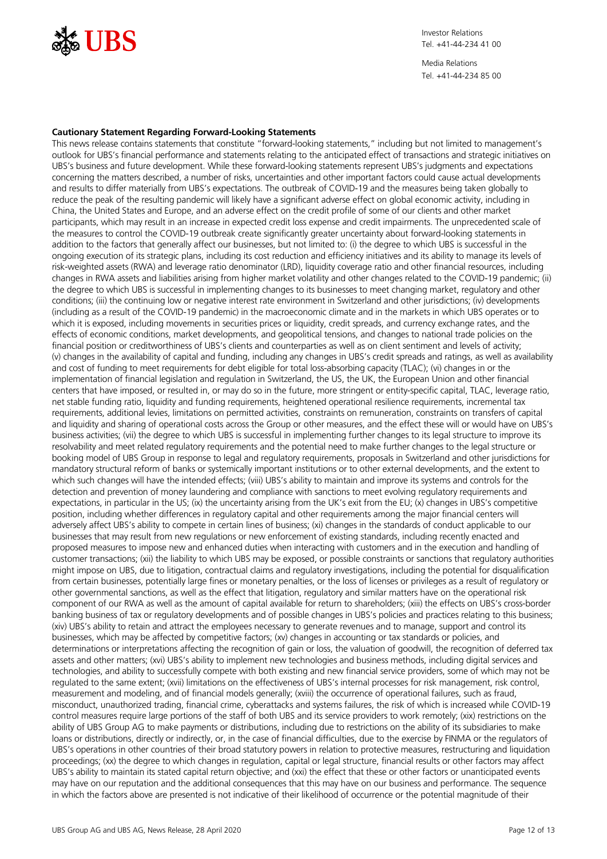

Media Relations Tel. +41-44-234 85 00

#### **Cautionary Statement Regarding Forward-Looking Statements**

This news release contains statements that constitute "forward-looking statements," including but not limited to management's outlook for UBS's financial performance and statements relating to the anticipated effect of transactions and strategic initiatives on UBS's business and future development. While these forward-looking statements represent UBS's judgments and expectations concerning the matters described, a number of risks, uncertainties and other important factors could cause actual developments and results to differ materially from UBS's expectations. The outbreak of COVID-19 and the measures being taken globally to reduce the peak of the resulting pandemic will likely have a significant adverse effect on global economic activity, including in China, the United States and Europe, and an adverse effect on the credit profile of some of our clients and other market participants, which may result in an increase in expected credit loss expense and credit impairments. The unprecedented scale of the measures to control the COVID-19 outbreak create significantly greater uncertainty about forward-looking statements in addition to the factors that generally affect our businesses, but not limited to: (i) the degree to which UBS is successful in the ongoing execution of its strategic plans, including its cost reduction and efficiency initiatives and its ability to manage its levels of risk-weighted assets (RWA) and leverage ratio denominator (LRD), liquidity coverage ratio and other financial resources, including changes in RWA assets and liabilities arising from higher market volatility and other changes related to the COVID-19 pandemic; (ii) the degree to which UBS is successful in implementing changes to its businesses to meet changing market, regulatory and other conditions; (iii) the continuing low or negative interest rate environment in Switzerland and other jurisdictions; (iv) developments (including as a result of the COVID-19 pandemic) in the macroeconomic climate and in the markets in which UBS operates or to which it is exposed, including movements in securities prices or liquidity, credit spreads, and currency exchange rates, and the effects of economic conditions, market developments, and geopolitical tensions, and changes to national trade policies on the financial position or creditworthiness of UBS's clients and counterparties as well as on client sentiment and levels of activity; (v) changes in the availability of capital and funding, including any changes in UBS's credit spreads and ratings, as well as availability and cost of funding to meet requirements for debt eligible for total loss-absorbing capacity (TLAC); (vi) changes in or the implementation of financial legislation and regulation in Switzerland, the US, the UK, the European Union and other financial centers that have imposed, or resulted in, or may do so in the future, more stringent or entity-specific capital, TLAC, leverage ratio, net stable funding ratio, liquidity and funding requirements, heightened operational resilience requirements, incremental tax requirements, additional levies, limitations on permitted activities, constraints on remuneration, constraints on transfers of capital and liquidity and sharing of operational costs across the Group or other measures, and the effect these will or would have on UBS's business activities; (vii) the degree to which UBS is successful in implementing further changes to its legal structure to improve its resolvability and meet related regulatory requirements and the potential need to make further changes to the legal structure or booking model of UBS Group in response to legal and regulatory requirements, proposals in Switzerland and other jurisdictions for mandatory structural reform of banks or systemically important institutions or to other external developments, and the extent to which such changes will have the intended effects; (viii) UBS's ability to maintain and improve its systems and controls for the detection and prevention of money laundering and compliance with sanctions to meet evolving regulatory requirements and expectations, in particular in the US; (ix) the uncertainty arising from the UK's exit from the EU; (x) changes in UBS's competitive position, including whether differences in regulatory capital and other requirements among the major financial centers will adversely affect UBS's ability to compete in certain lines of business; (xi) changes in the standards of conduct applicable to our businesses that may result from new regulations or new enforcement of existing standards, including recently enacted and proposed measures to impose new and enhanced duties when interacting with customers and in the execution and handling of customer transactions; (xii) the liability to which UBS may be exposed, or possible constraints or sanctions that regulatory authorities might impose on UBS, due to litigation, contractual claims and regulatory investigations, including the potential for disqualification from certain businesses, potentially large fines or monetary penalties, or the loss of licenses or privileges as a result of regulatory or other governmental sanctions, as well as the effect that litigation, regulatory and similar matters have on the operational risk component of our RWA as well as the amount of capital available for return to shareholders; (xiii) the effects on UBS's cross-border banking business of tax or regulatory developments and of possible changes in UBS's policies and practices relating to this business; (xiv) UBS's ability to retain and attract the employees necessary to generate revenues and to manage, support and control its businesses, which may be affected by competitive factors; (xv) changes in accounting or tax standards or policies, and determinations or interpretations affecting the recognition of gain or loss, the valuation of goodwill, the recognition of deferred tax assets and other matters; (xvi) UBS's ability to implement new technologies and business methods, including digital services and technologies, and ability to successfully compete with both existing and new financial service providers, some of which may not be regulated to the same extent; (xvii) limitations on the effectiveness of UBS's internal processes for risk management, risk control, measurement and modeling, and of financial models generally; (xviii) the occurrence of operational failures, such as fraud, misconduct, unauthorized trading, financial crime, cyberattacks and systems failures, the risk of which is increased while COVID-19 control measures require large portions of the staff of both UBS and its service providers to work remotely; (xix) restrictions on the ability of UBS Group AG to make payments or distributions, including due to restrictions on the ability of its subsidiaries to make loans or distributions, directly or indirectly, or, in the case of financial difficulties, due to the exercise by FINMA or the regulators of UBS's operations in other countries of their broad statutory powers in relation to protective measures, restructuring and liquidation proceedings; (xx) the degree to which changes in regulation, capital or legal structure, financial results or other factors may affect UBS's ability to maintain its stated capital return objective; and (xxi) the effect that these or other factors or unanticipated events may have on our reputation and the additional consequences that this may have on our business and performance. The sequence in which the factors above are presented is not indicative of their likelihood of occurrence or the potential magnitude of their